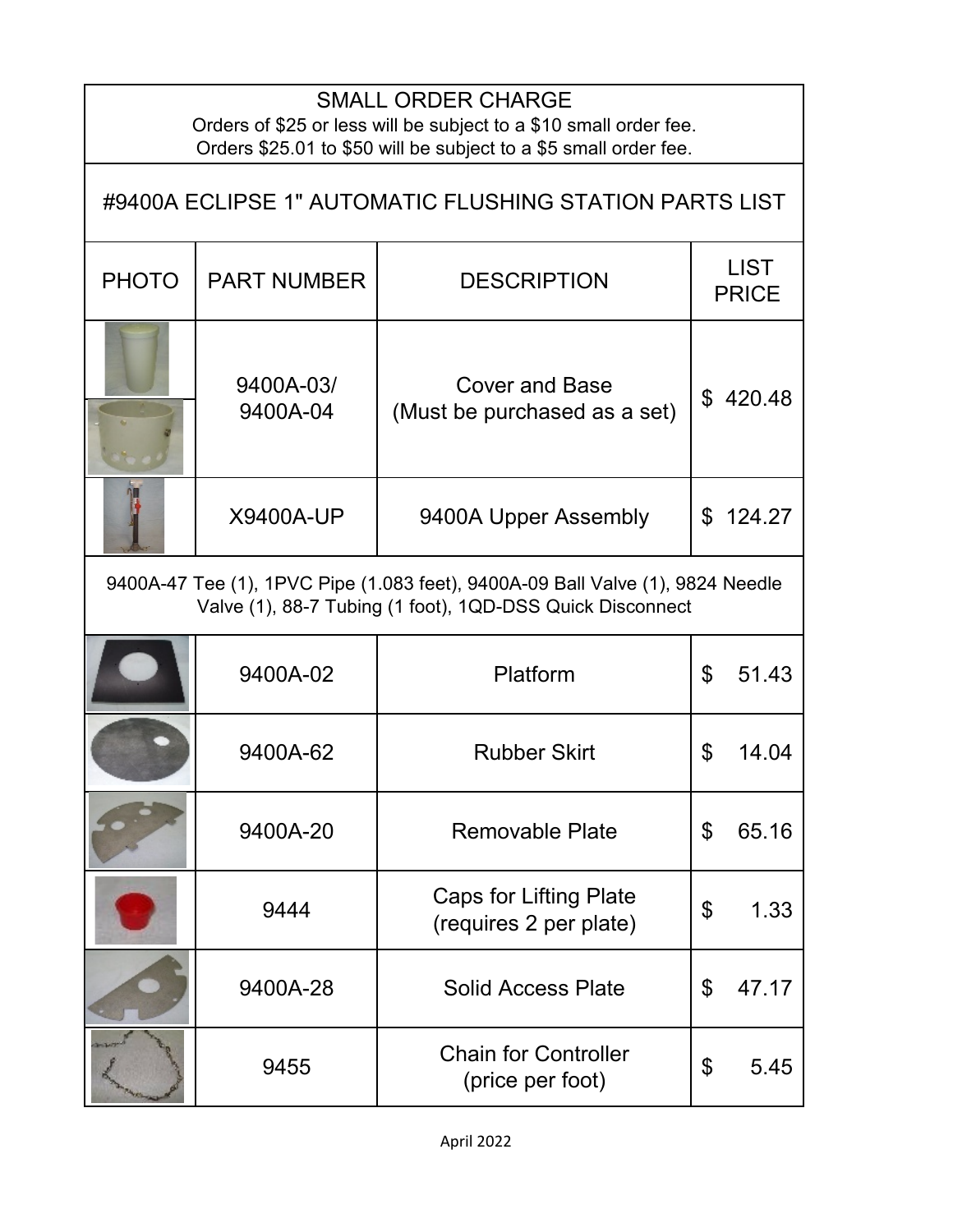## SMALL ORDER CHARGE

Orders of \$25 or less will be subject to a \$10 small order fee. Orders \$25.01 to \$50 will be subject to a \$5 small order fee.

| #9400A ECLIPSE 1" AUTOMATIC FLUSHING STATION PARTS LIST                                                                                     |                       |                                                         |                |                             |
|---------------------------------------------------------------------------------------------------------------------------------------------|-----------------------|---------------------------------------------------------|----------------|-----------------------------|
| <b>PHOTO</b>                                                                                                                                | <b>PART NUMBER</b>    | <b>DESCRIPTION</b>                                      |                | <b>LIST</b><br><b>PRICE</b> |
|                                                                                                                                             | 9400A-03/<br>9400A-04 | <b>Cover and Base</b><br>(Must be purchased as a set)   |                | \$420.48                    |
|                                                                                                                                             | <b>X9400A-UP</b>      | 9400A Upper Assembly                                    |                | \$124.27                    |
| 9400A-47 Tee (1), 1PVC Pipe (1.083 feet), 9400A-09 Ball Valve (1), 9824 Needle<br>Valve (1), 88-7 Tubing (1 foot), 1QD-DSS Quick Disconnect |                       |                                                         |                |                             |
|                                                                                                                                             | 9400A-02              | Platform                                                | $\mathfrak{L}$ | 51.43                       |
|                                                                                                                                             | 9400A-62              | <b>Rubber Skirt</b>                                     | \$             | 14.04                       |
|                                                                                                                                             | 9400A-20              | <b>Removable Plate</b>                                  | \$             | 65.16                       |
|                                                                                                                                             | 9444                  | <b>Caps for Lifting Plate</b><br>(requires 2 per plate) | \$             | 1.33                        |
|                                                                                                                                             | 9400A-28              | <b>Solid Access Plate</b>                               | \$             | 47.17                       |
|                                                                                                                                             | 9455                  | <b>Chain for Controller</b><br>(price per foot)         | \$             | 5.45                        |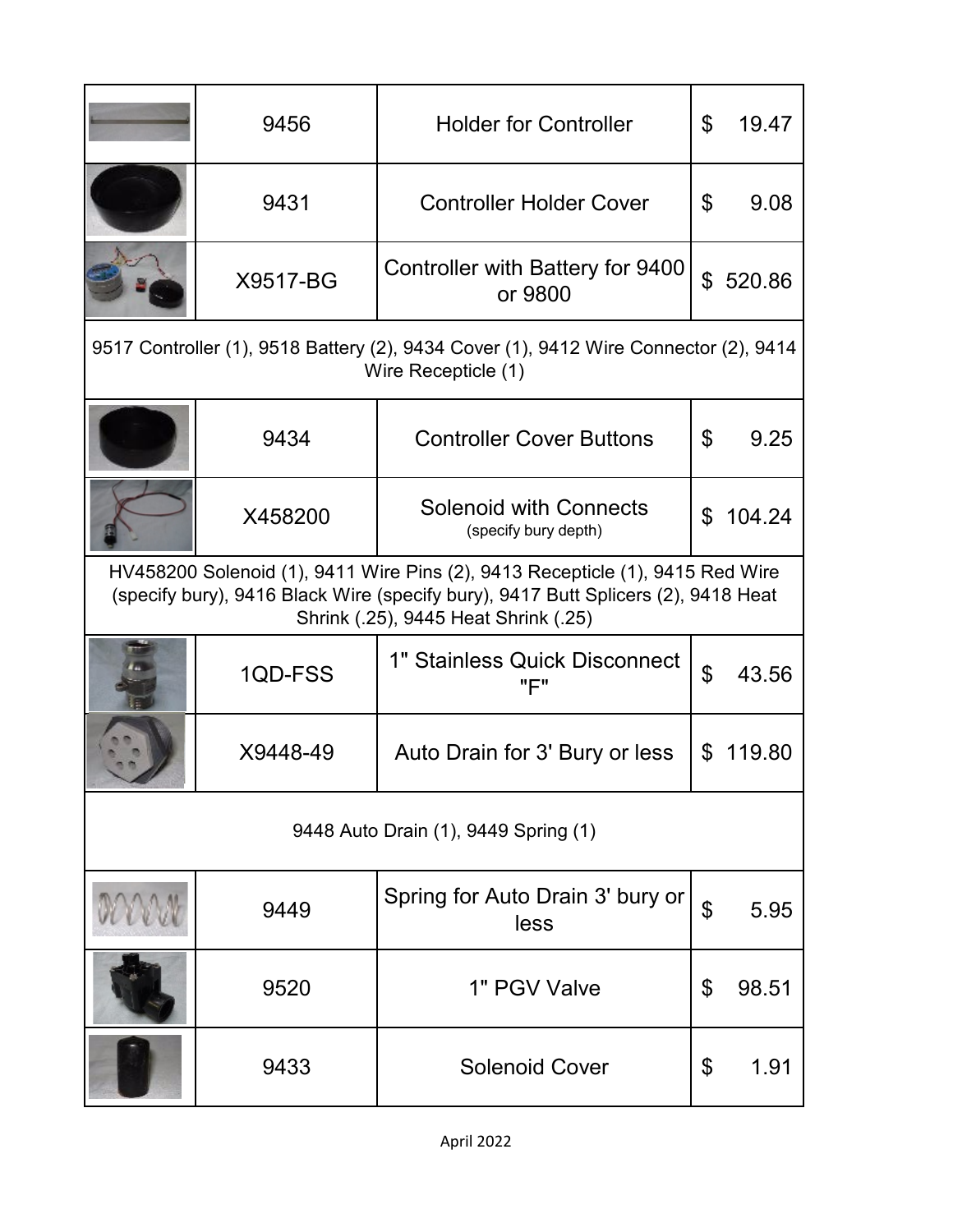|                                                                                                                                                                                                            | 9456     | <b>Holder for Controller</b>                          | \$             | 19.47  |  |
|------------------------------------------------------------------------------------------------------------------------------------------------------------------------------------------------------------|----------|-------------------------------------------------------|----------------|--------|--|
|                                                                                                                                                                                                            | 9431     | <b>Controller Holder Cover</b>                        | \$             | 9.08   |  |
|                                                                                                                                                                                                            | X9517-BG | Controller with Battery for 9400<br>or 9800           | \$             | 520.86 |  |
| 9517 Controller (1), 9518 Battery (2), 9434 Cover (1), 9412 Wire Connector (2), 9414<br>Wire Recepticle (1)                                                                                                |          |                                                       |                |        |  |
|                                                                                                                                                                                                            | 9434     | <b>Controller Cover Buttons</b>                       | \$             | 9.25   |  |
|                                                                                                                                                                                                            | X458200  | <b>Solenoid with Connects</b><br>(specify bury depth) | \$             | 104.24 |  |
| HV458200 Solenoid (1), 9411 Wire Pins (2), 9413 Recepticle (1), 9415 Red Wire<br>(specify bury), 9416 Black Wire (specify bury), 9417 Butt Splicers (2), 9418 Heat<br>Shrink (.25), 9445 Heat Shrink (.25) |          |                                                       |                |        |  |
|                                                                                                                                                                                                            | 1QD-FSS  | 1" Stainless Quick Disconnect<br>"F"                  | $\mathfrak{P}$ | 43.56  |  |
|                                                                                                                                                                                                            | X9448-49 | Auto Drain for 3' Bury or less                        | \$             | 119.80 |  |
| 9448 Auto Drain (1), 9449 Spring (1)                                                                                                                                                                       |          |                                                       |                |        |  |
|                                                                                                                                                                                                            | 9449     | Spring for Auto Drain 3' bury or<br>less              | \$             | 5.95   |  |
|                                                                                                                                                                                                            | 9520     | 1" PGV Valve                                          | \$             | 98.51  |  |
|                                                                                                                                                                                                            | 9433     | <b>Solenoid Cover</b>                                 | \$             | 1.91   |  |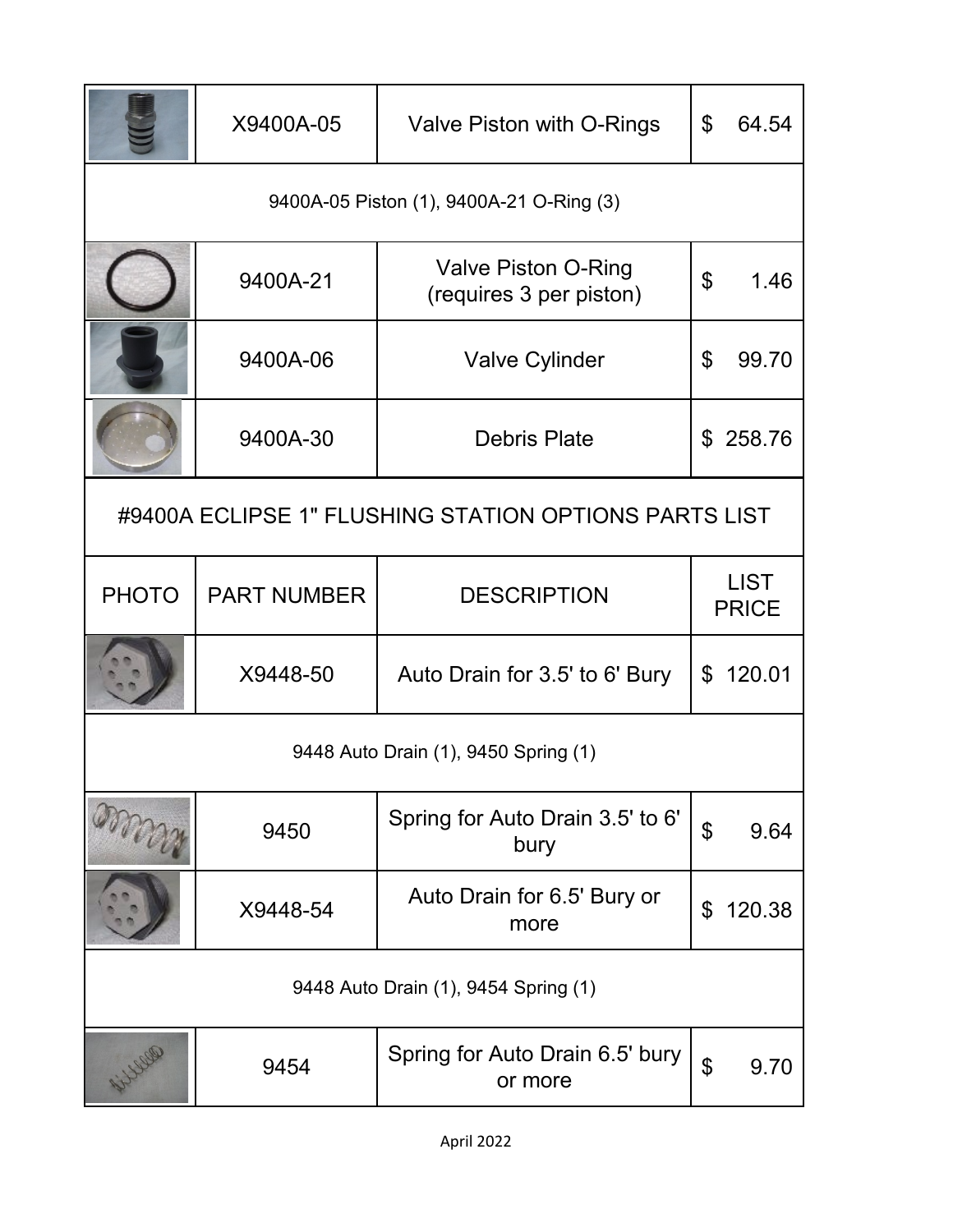|                                                       | X9400A-05          | Valve Piston with O-Rings                             | $\mathbb S$           | 64.54                       |
|-------------------------------------------------------|--------------------|-------------------------------------------------------|-----------------------|-----------------------------|
| 9400A-05 Piston (1), 9400A-21 O-Ring (3)              |                    |                                                       |                       |                             |
|                                                       | 9400A-21           | <b>Valve Piston O-Ring</b><br>(requires 3 per piston) | \$                    | 1.46                        |
|                                                       | 9400A-06           | <b>Valve Cylinder</b>                                 | $\mathfrak{L}$        | 99.70                       |
|                                                       | 9400A-30           | <b>Debris Plate</b>                                   |                       | \$258.76                    |
| #9400A ECLIPSE 1" FLUSHING STATION OPTIONS PARTS LIST |                    |                                                       |                       |                             |
| <b>PHOTO</b>                                          | <b>PART NUMBER</b> | <b>DESCRIPTION</b>                                    |                       | <b>LIST</b><br><b>PRICE</b> |
|                                                       | X9448-50           | Auto Drain for 3.5' to 6' Bury                        |                       | \$120.01                    |
| 9448 Auto Drain (1), 9450 Spring (1)                  |                    |                                                       |                       |                             |
|                                                       | 9450               | Spring for Auto Drain 3.5' to 6'<br>bury              | \$                    | 9.64                        |
|                                                       | X9448-54           | Auto Drain for 6.5' Bury or<br>more                   | $\mathfrak{L}$        | 120.38                      |
| 9448 Auto Drain (1), 9454 Spring (1)                  |                    |                                                       |                       |                             |
|                                                       | 9454               | Spring for Auto Drain 6.5' bury<br>or more            | $\boldsymbol{\theta}$ | 9.70                        |